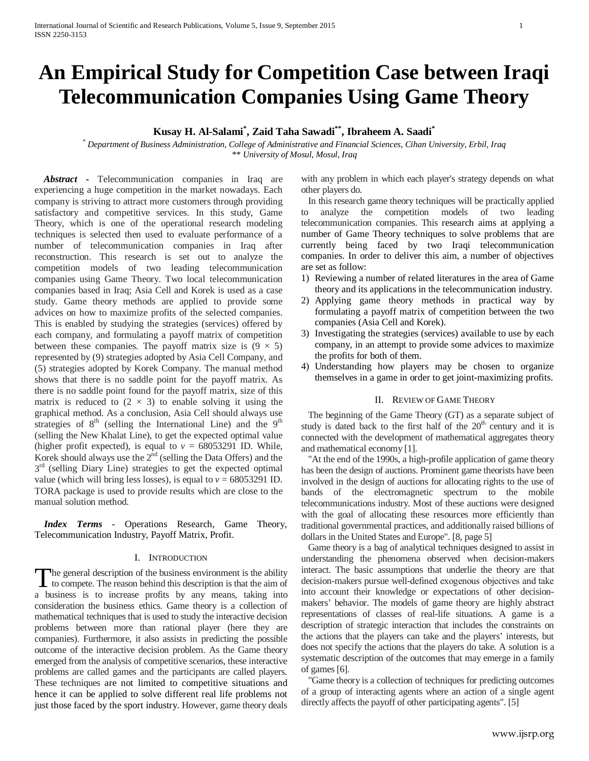# **An Empirical Study for Competition Case between Iraqi Telecommunication Companies Using Game Theory**

**Kusay H. Al-Salami\* , Zaid Taha Sawadi\*\* , Ibraheem A. Saadi\***

*\* Department of Business Administration, College of Administrative and Financial Sciences, Cihan University, Erbil, Iraq \*\* University of Mosul, Mosul, Iraq*

*Abstract* **-** Telecommunication companies in Iraq are experiencing a huge competition in the market nowadays. Each company is striving to attract more customers through providing satisfactory and competitive services. In this study, Game Theory, which is one of the operational research modeling techniques is selected then used to evaluate performance of a number of telecommunication companies in Iraq after reconstruction. This research is set out to analyze the competition models of two leading telecommunication companies using Game Theory. Two local telecommunication companies based in Iraq; Asia Cell and Korek is used as a case study. Game theory methods are applied to provide some advices on how to maximize profits of the selected companies. This is enabled by studying the strategies (services) offered by each company, and formulating a payoff matrix of competition between these companies. The payoff matrix size is  $(9 \times 5)$ represented by (9) strategies adopted by Asia Cell Company, and (5) strategies adopted by Korek Company. The manual method shows that there is no saddle point for the payoff matrix. As there is no saddle point found for the payoff matrix, size of this matrix is reduced to  $(2 \times 3)$  to enable solving it using the graphical method. As a conclusion, Asia Cell should always use strategies of  $8<sup>th</sup>$  (selling the International Line) and the  $9<sup>th</sup>$ (selling the New Khalat Line), to get the expected optimal value (higher profit expected), is equal to  $v = 68053291$  ID. While, Korek should always use the  $2<sup>nd</sup>$  (selling the Data Offers) and the  $3<sup>rd</sup>$  (selling Diary Line) strategies to get the expected optimal value (which will bring less losses), is equal to  $v = 68053291$  ID. TORA package is used to provide results which are close to the manual solution method.

 *Index Terms* - Operations Research, Game Theory, Telecommunication Industry, Payoff Matrix, Profit.

## I. INTRODUCTION

<span id="page-0-0"></span>he general description of the business environment is the ability The general description of the business environment is the ability<br>to compete. The reason behind this description is that the aim of a business is to increase profits by any means, taking into consideration the business ethics. Game theory is a collection of mathematical techniques that is used to study the interactive decision problems between more than rational player (here they are companies). Furthermore, it also assists in predicting the possible outcome of the interactive decision problem. As the Game theory emerged from the analysis of competitive scenarios, these interactive problems are called games and the participants are called players. These techniques are not limited to competitive situations and hence it can be applied to solve different real life problems not just those faced by the sport industry. However, game theory deals

with any problem in which each player's strategy depends on what other players do.

In this research game theory techniques will be practically applied to analyze the competition models of two leading telecommunication companies. This research aims at applying a number of Game Theory techniques to solve problems that are currently being faced by two Iraqi telecommunication companies. In order to deliver this aim, a number of objectives are set as follow:

- 1) Reviewing a number of related literatures in the area of Game theory and its applications in the telecommunication industry.
- 2) Applying game theory methods in practical way by formulating a payoff matrix of competition between the two companies (Asia Cell and Korek).
- 3) Investigating the strategies (services) available to use by each company, in an attempt to provide some advices to maximize the profits for both of them.
- 4) Understanding how players may be chosen to organize themselves in a game in order to get joint-maximizing profits.

#### II. REVIEW OF GAME THEORY

The beginning of the Game Theory (GT) as a separate subject of study is dated back to the first half of the 20<sup>th</sup> century and it is connected with the development of mathematical aggregates theory and mathematical economy [1].

"At the end of the 1990s, a high-profile application of game theory has been the design of auctions. Prominent game theorists have been involved in the design of auctions for allocating rights to the use of bands of the electromagnetic spectrum to the mobile telecommunications industry. Most of these auctions were designed with the goal of allocating these resources more efficiently than traditional governmental practices, and additionally raised billions of dollars in the United States and Europe". [8, page 5]

Game theory is a bag of analytical techniques designed to assist in understanding the phenomena observed when decision-makers interact. The basic assumptions that underlie the theory are that decision-makers pursue well-defined exogenous objectives and take into account their knowledge or expectations of other decisionmakers' behavior. The models of game theory are highly abstract representations of classes of real-life situations. A game is a description of strategic interaction that includes the constraints on the actions that the players can take and the players' interests, but does not specify the actions that the players do take. A solution is a systematic description of the outcomes that may emerge in a family of games [6].

"Game theory is a collection of techniques for predicting outcomes of a group of interacting agents where an action of a single agent directly affects the payoff of other participating agents". [5]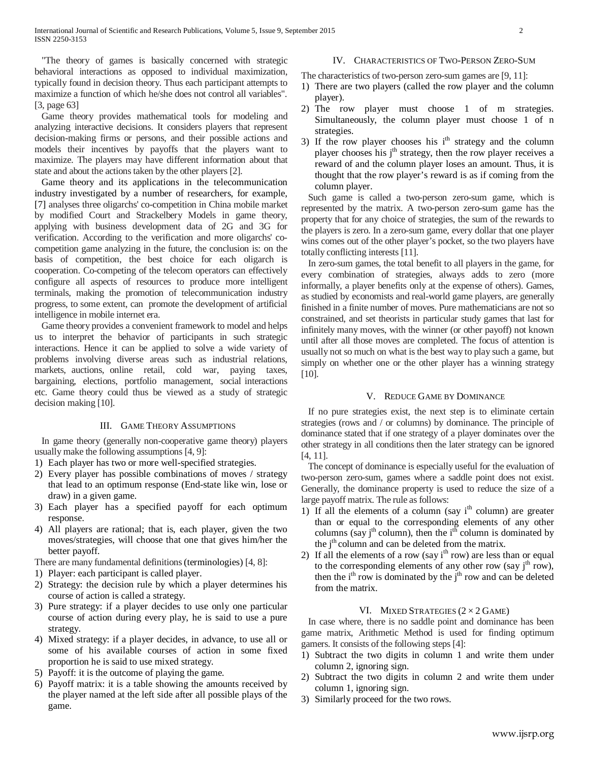"The theory of games is basically concerned with strategic behavioral interactions as opposed to individual maximization, typically found in decision theory. Thus each participant attempts to maximize a function of which he/she does not control all variables". [3, page 63]

Game theory provides mathematical tools for modeling and analyzing interactive decisions. It considers players that represent decision-making firms or persons, and their possible actions and models their incentives by payoffs that the players want to maximize. The players may have different information about that state and about the actions taken by the other players [2].

Game theory and its applications in the telecommunication industry investigated by a number of researchers, for example, [7] analyses three oligarchs' co-competition in China mobile market by modified Court and Strackelbery Models in game theory, applying with business development data of 2G and 3G for verification. According to the verification and more oligarchs' cocompetition game analyzing in the future, the conclusion is: on the basis of competition, the best choice for each oligarch is cooperation. Co-competing of the telecom operators can effectively configure all aspects of resources to produce more intelligent terminals, making the promotion of telecommunication industry progress, to some extent, can promote the development of artificial intelligence in mobile internet era.

Game theory provides a convenient framework to model and helps us to interpret the behavior of participants in such strategic interactions. Hence it can be applied to solve a wide variety of problems involving diverse areas such as industrial relations, markets, auctions, online retail, cold war, paying taxes, bargaining, elections, portfolio management, social interactions etc. Game theory could thus be viewed as a study of strategic decision making [10].

## III. GAME THEORY ASSUMPTIONS

In game theory (generally non-cooperative game theory) players usually make the following assumptions [4, 9]:

- 1) Each player has two or more well-specified strategies.
- 2) Every player has possible combinations of moves / strategy that lead to an optimum response (End-state like win, lose or draw) in a given game.
- 3) Each player has a specified payoff for each optimum response.
- 4) All players are rational; that is, each player, given the two moves/strategies, will choose that one that gives him/her the better payoff.

There are many fundamental definitions(terminologies) [4, 8]:

- 1) Player: each participant is called player.
- 2) Strategy: the decision rule by which a player determines his course of action is called a strategy.
- 3) Pure strategy: if a player decides to use only one particular course of action during every play, he is said to use a pure strategy.
- 4) Mixed strategy: if a player decides, in advance, to use all or some of his available courses of action in some fixed proportion he is said to use mixed strategy.
- 5) Payoff: it is the outcome of playing the game.
- 6) Payoff matrix: it is a table showing the amounts received by the player named at the left side after all possible plays of the game.

# IV. CHARACTERISTICS OF TWO-PERSON ZERO-SUM

- The characteristics of two-person zero-sum games are [9, 11]:
- 1) There are two players (called the row player and the column player).
- 2) The row player must choose 1 of m strategies. Simultaneously, the column player must choose 1 of n strategies.
- 3) If the row player chooses his i<sup>th</sup> strategy and the column player chooses his j<sup>th</sup> strategy, then the row player receives a reward of and the column player loses an amount. Thus, it is thought that the row player's reward is as if coming from the column player.

Such game is called a two-person zero-sum game, which is represented by the matrix. A two-person zero-sum game has the property that for any choice of strategies, the sum of the rewards to the players is zero. In a zero-sum game, every dollar that one player wins comes out of the other player's pocket, so the two players have totally conflicting interests [11].

In zero-sum games, the total benefit to all players in the game, for every combination of strategies, always adds to zero (more informally, a player benefits only at the expense of others). Games, as studied by economists and real-world game players, are generally finished in a finite number of moves. Pure mathematicians are not so constrained, and set theorists in particular study games that last for infinitely many moves, with the winner (or other payoff) not known until after all those moves are completed. The focus of attention is usually not so much on what is the best way to play such a game, but simply on whether one or the other player has a winning strategy [10].

## V. REDUCE GAME BY DOMINANCE

If no pure strategies exist, the next step is to eliminate certain strategies (rows and / or columns) by dominance. The principle of dominance stated that if one strategy of a player dominates over the other strategy in all conditions then the later strategy can be ignored [4, 11].

The concept of dominance is especially useful for the evaluation of two-person zero-sum, games where a saddle point does not exist. Generally, the dominance property is used to reduce the size of a large payoff matrix. The rule as follows:

- 1) If all the elements of a column (say i<sup>th</sup> column) are greater than or equal to the corresponding elements of any other columns (say j<sup>th</sup> column), then the i<sup>th</sup> column is dominated by the j<sup>th</sup> column and can be deleted from the matrix.
- 2) If all the elements of a row (say i<sup>th</sup> row) are less than or equal to the corresponding elements of any other row (say  $j<sup>th</sup>$  row), then the i<sup>th</sup> row is dominated by the j<sup>th</sup> row and can be deleted from the matrix.

## VI. MIXED STRATEGIES  $(2 \times 2 \text{ GAME})$

In case where, there is no saddle point and dominance has been game matrix, Arithmetic Method is used for finding optimum gamers. It consists of the following steps [4]:

- 1) Subtract the two digits in column 1 and write them under column 2, ignoring sign.
- 2) Subtract the two digits in column 2 and write them under column 1, ignoring sign.
- 3) Similarly proceed for the two rows.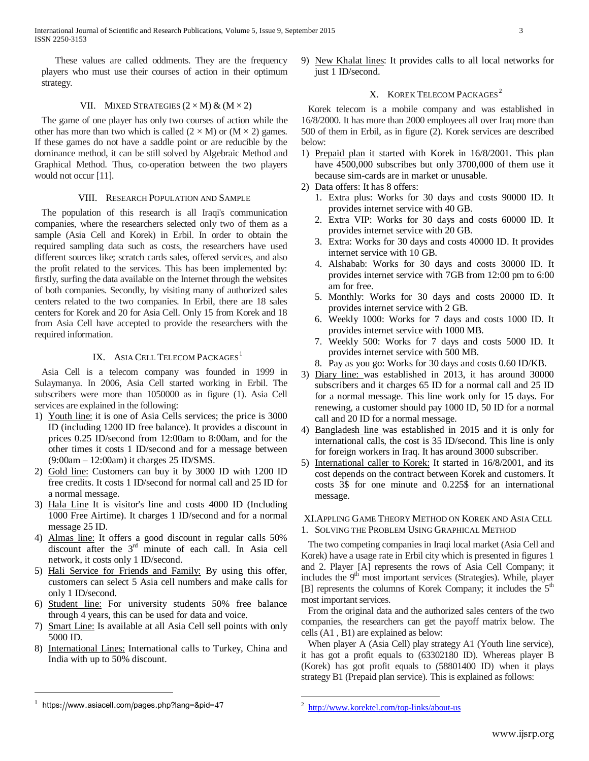These values are called oddments. They are the frequency players who must use their courses of action in their optimum strategy.

# VII. MIXED STRATEGIES  $(2 \times M)$  &  $(M \times 2)$

The game of one player has only two courses of action while the other has more than two which is called  $(2 \times M)$  or  $(M \times 2)$  games. If these games do not have a saddle point or are reducible by the dominance method, it can be still solved by Algebraic Method and Graphical Method. Thus, co-operation between the two players would not occur [11].

# VIII. RESEARCH POPULATION AND SAMPLE

The population of this research is all Iraqi's communication companies, where the researchers selected only two of them as a sample (Asia Cell and Korek) in Erbil. In order to obtain the required sampling data such as costs, the researchers have used different sources like; scratch cards sales, offered services, and also the profit related to the services. This has been implemented by: firstly, surfing the data available on the Internet through the websites of both companies. Secondly, by visiting many of authorized sales centers related to the two companies. In Erbil, there are 18 sales centers for Korek and 20 for Asia Cell. Only 15 from Korek and 18 from Asia Cell have accepted to provide the researchers with the required information.

# IX. ASIA CELL TELECOM PACKAGES<sup>[1](#page-0-0)</sup>

Asia Cell is a telecom company was founded in 1999 in Sulaymanya. In 2006, Asia Cell started working in Erbil. The subscribers were more than 1050000 as in figure (1). Asia Cell services are explained in the following:

- 1) Youth line: it is one of Asia Cells services; the price is 3000 ID (including 1200 ID free balance). It provides a discount in prices 0.25 ID/second from 12:00am to 8:00am, and for the other times it costs 1 ID/second and for a message between (9:00am – 12:00am) it charges 25 ID/SMS.
- 2) Gold line: Customers can buy it by 3000 ID with 1200 ID free credits. It costs 1 ID/second for normal call and 25 ID for a normal message.
- 3) Hala Line It is visitor's line and costs 4000 ID (Including 1000 Free Airtime). It charges 1 ID/second and for a normal message 25 ID.
- 4) Almas line: It offers a good discount in regular calls 50% discount after the 3<sup>rd</sup> minute of each call. In Asia cell network, it costs only 1 ID/second.
- 5) Hali Service for Friends and Family: By using this offer, customers can select 5 Asia cell numbers and make calls for only 1 ID/second.
- 6) Student line: For university students 50% free balance through 4 years, this can be used for data and voice.
- 7) Smart Line: Is available at all Asia Cell sell points with only 5000 ID.
- <span id="page-2-0"></span>8) International Lines: International calls to Turkey, China and India with up to 50% discount.

9) New Khalat lines: It provides calls to all local networks for just 1 ID/second.

# X. KOREK TELECOM PACKAGES<sup>2</sup>

Korek telecom is a mobile company and was established in 16/8/2000. It has more than 2000 employees all over Iraq more than 500 of them in Erbil, as in figure (2). Korek services are described below:

- 1) Prepaid plan it started with Korek in 16/8/2001. This plan have 4500,000 subscribes but only 3700,000 of them use it because sim-cards are in market or unusable.
- 2) Data offers: It has 8 offers:
	- 1. Extra plus: Works for 30 days and costs 90000 ID. It provides internet service with 40 GB.
	- 2. Extra VIP: Works for 30 days and costs 60000 ID. It provides internet service with 20 GB.
	- 3. Extra: Works for 30 days and costs 40000 ID. It provides internet service with 10 GB.
	- 4. Alshabab: Works for 30 days and costs 30000 ID. It provides internet service with 7GB from 12:00 pm to 6:00 am for free.
	- 5. Monthly: Works for 30 days and costs 20000 ID. It provides internet service with 2 GB.
	- 6. Weekly 1000: Works for 7 days and costs 1000 ID. It provides internet service with 1000 MB.
	- 7. Weekly 500: Works for 7 days and costs 5000 ID. It provides internet service with 500 MB.
	- 8. Pay as you go: Works for 30 days and costs 0.60 ID/KB.
- 3) Diary line: was established in 2013, it has around 30000 subscribers and it charges 65 ID for a normal call and 25 ID for a normal message. This line work only for 15 days. For renewing, a customer should pay 1000 ID, 50 ID for a normal call and 20 ID for a normal message.
- 4) Bangladesh line was established in 2015 and it is only for international calls, the cost is 35 ID/second. This line is only for foreign workers in Iraq. It has around 3000 subscriber.
- 5) International caller to Korek: It started in 16/8/2001, and its cost depends on the contract between Korek and customers. It costs 3\$ for one minute and 0.225\$ for an international message.

# XI.APPLING GAME THEORY METHOD ON KOREK AND ASIA CELL 1. SOLVING THE PROBLEM USING GRAPHICAL METHOD

The two competing companies in Iraqi local market (Asia Cell and Korek) have a usage rate in Erbil city which is presented in figures 1 and 2. Player [A] represents the rows of Asia Cell Company; it includes the 9<sup>th</sup> most important services (Strategies). While, player [B] represents the columns of Korek Company; it includes the 5<sup>th</sup> most important services.

From the original data and the authorized sales centers of the two companies, the researchers can get the payoff matrix below. The cells (A1 , B1) are explained as below:

When player A (Asia Cell) play strategy A1 (Youth line service), it has got a profit equals to (63302180 ID). Whereas player B (Korek) has got profit equals to (58801400 ID) when it plays strategy B1 (Prepaid plan service). This is explained as follows:

 $\overline{a}$ 

 $1$  https://www.asiacell.com/pages.php?lang=&pid=47

 <sup>2</sup> <http://www.korektel.com/top-links/about-us>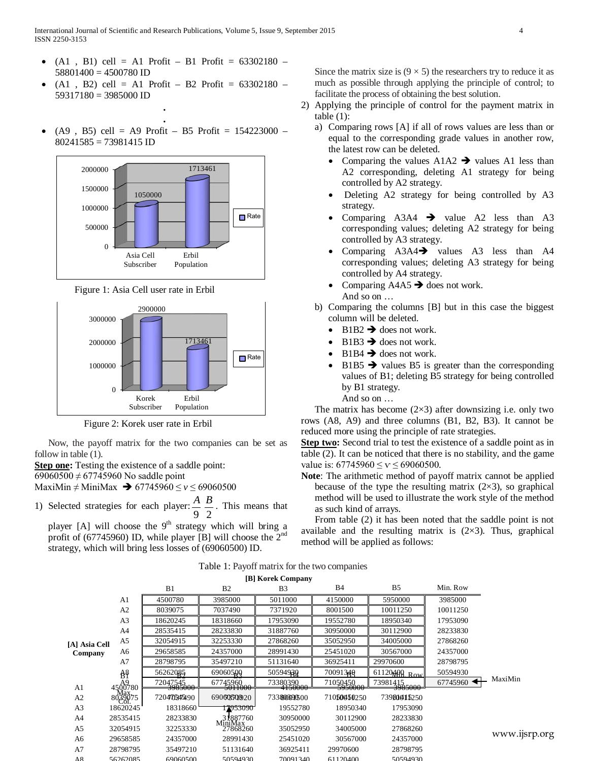- $(A1, B1)$  cell = A1 Profit B1 Profit = 63302180 58801400 = 4500780 ID
- $(A1, B2)$  cell = A1 Profit B2 Profit = 63302180 59317180 = 3985000 ID **.**
- **.**  $(A9, B5)$  cell = A9 Profit – B5 Profit = 154223000 –  $80241585 = 73981415$  ID



Figure 1: Asia Cell user rate in Erbil



Figure 2: Korek user rate in Erbil

Now, the payoff matrix for the two companies can be set as follow in table (1).

**Step one:** Testing the existence of a saddle point:

69060500  $\neq$  67745960 No saddle point

MaxiMin ≠ MiniMax  $\rightarrow$  67745960 ≤ *v* ≤ 69060500

1) Selected strategies for each player:  $\frac{A}{9}$ 2 *<sup>B</sup>* . This means that

player [A] will choose the  $9<sup>th</sup>$  strategy which will bring a profit of (67745960) ID, while player [B] will choose the  $2<sup>nd</sup>$ strategy, which will bring less losses of (69060500) ID.

Since the matrix size is  $(9 \times 5)$  the researchers try to reduce it as much as possible through applying the principle of control; to facilitate the process of obtaining the best solution.

- 2) Applying the principle of control for the payment matrix in table (1):
	- a) Comparing rows [A] if all of rows values are less than or equal to the corresponding grade values in another row, the latest row can be deleted.
		- Comparing the values  $A1A2 \rightarrow$  values A1 less than A2 corresponding, deleting A1 strategy for being controlled by A2 strategy.
		- Deleting A2 strategy for being controlled by A3 strategy.
		- Comparing  $A3A4 \rightarrow \text{value } A2$  less than  $A3$ corresponding values; deleting A2 strategy for being controlled by A3 strategy.
		- Comparing  $A3A4 \rightarrow$  values  $A3$  less than  $A4$ corresponding values; deleting A3 strategy for being controlled by A4 strategy.
		- Comparing  $A4A5 \rightarrow$  does not work. And so on …
	- b) Comparing the columns [B] but in this case the biggest column will be deleted.
		- $B1B2 \rightarrow$  does not work.
		- $B1B3 \rightarrow$  does not work.
		- $B1B4 \rightarrow$  does not work.
		- $B1B5 \rightarrow$  values B5 is greater than the corresponding values of B1; deleting B5 strategy for being controlled by B1 strategy. And so on …

The matrix has become  $(2\times3)$  after downsizing i.e. only two rows (A8, A9) and three columns (B1, B2, B3). It cannot be reduced more using the principle of rate strategies.

**Step two:** Second trial to test the existence of a saddle point as in table (2). It can be noticed that there is no stability, and the game value is:  $67745960 \leq y \leq 69060500$ .

**Note**: The arithmetic method of payoff matrix cannot be applied because of the type the resulting matrix  $(2\times3)$ , so graphical method will be used to illustrate the work style of the method as such kind of arrays.

From table (2) it has been noted that the saddle point is not available and the resulting matrix is  $(2\times3)$ . Thus, graphical method will be applied as follows:

Table 1: Payoff matrix for the two companies

|                       |                                    |                         |                     | [B] Korek Company   |                         |                             |          |               |
|-----------------------|------------------------------------|-------------------------|---------------------|---------------------|-------------------------|-----------------------------|----------|---------------|
|                       |                                    | B1                      | B <sub>2</sub>      | B <sub>3</sub>      | <b>B</b> 4              | B <sub>5</sub>              | Min. Row |               |
|                       | A <sub>1</sub>                     | 4500780                 | 3985000             | 5011000             | 4150000                 | 5950000                     | 3985000  |               |
|                       | A <sub>2</sub>                     | 8039075                 | 7037490             | 7371920             | 8001500                 | 10011250                    | 10011250 |               |
|                       | A <sub>3</sub>                     | 18620245                | 18318660            | 17953090            | 19552780                | 18950340                    | 17953090 |               |
|                       | A <sub>4</sub>                     | 28535415                | 28233830            | 31887760            | 30950000                | 30112900                    | 28233830 |               |
| [A] Asia Cell         | A5                                 | 32054915                | 32253330            | 27868260            | 35052950                | 34005000                    | 27868260 |               |
| Company               | A6                                 | 29658585                | 24357000            | 28991430            | 25451020                | 30567000                    | 24357000 |               |
|                       | A7                                 | 28798795                | 35497210            | 51131640            | 36925411                | 29970600                    | 28798795 |               |
|                       | ĝ.                                 | 56262085                | 69060500            | 50594930            | 7009134Q                | $61120 \text{A} \Omega$ Row | 50594930 |               |
| A1                    | 4500780                            | 72047545                | 67745960<br>5011000 | 73380390<br>4150000 | 71050450                | 73981415<br>3985000         | 67745960 | MaxiMin       |
| A <sub>2</sub>        | $80\frac{\text{Max}}{\text{29}}75$ | 3763000<br>720470345490 | 69060350020         | 733806090500        | 3930000<br>710500450250 | 73980015250                 |          |               |
| A <sub>3</sub>        | 18620245                           | 18318660                | 2953090             | 19552780            | 18950340                | 17953090                    |          |               |
| A <sup>4</sup>        | 28535415                           | 28233830                | 31887760            | 30950000            | 30112900                | 28233830                    |          |               |
| A <sub>5</sub>        | 32054915                           | 32253330                | MiniMax<br>27868260 | 35052950            | 34005000                | 27868260                    |          |               |
| A6                    | 29658585                           | 24357000                | 28991430            | 25451020            | 30567000                | 24357000                    |          | www.ijsrp.org |
| A7                    | 28798795                           | 35497210                | 51131640            | 36925411            | 29970600                | 28798795                    |          |               |
| $\Delta$ <sup>2</sup> | 56262085                           | 69060500                | 50594930            | 70091340            | 61120400                | 50594930                    |          |               |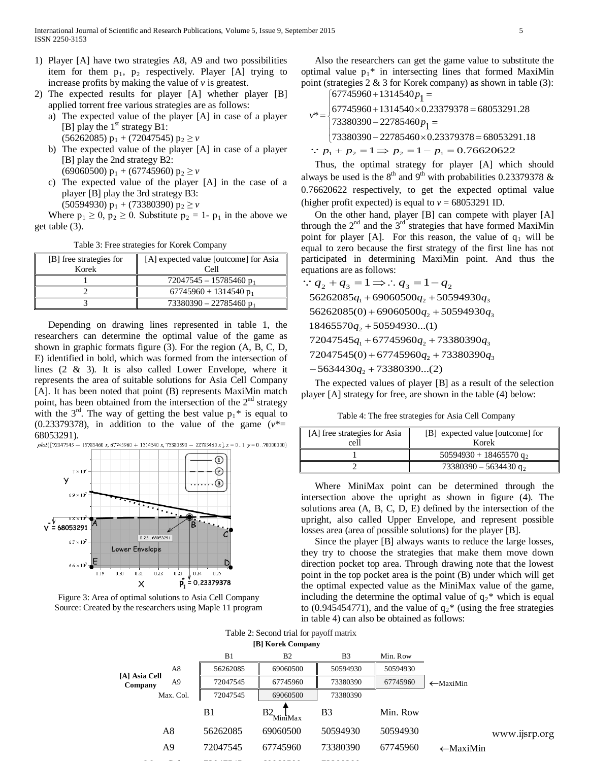- 1) Player [A] have two strategies A8, A9 and two possibilities item for them  $p_1$ ,  $p_2$  respectively. Player [A] trying to increase profits by making the value of  $\nu$  is greatest.
- 2) The expected results for player [A] whether player [B] applied torrent free various strategies are as follows:
	- a) The expected value of the player [A] in case of a player [B] play the  $1<sup>st</sup>$  strategy B1:  $(56262085)$  p<sub>1</sub> + (72047545) p<sub>2</sub>  $\geq v$
	- b) The expected value of the player [A] in case of a player [B] play the 2nd strategy B2:
		- (69060500)  $p_1$  + (67745960)  $p_2 \ge v$
	- c) The expected value of the player [A] in the case of a player [B] play the 3rd strategy B3:

(50594930)  $p_1$  + (73380390)  $p_2 \ge v$ 

Where  $p_1 \geq 0$ ,  $p_2 \geq 0$ . Substitute  $p_2 = 1$ -  $p_1$  in the above we get table (3).

Table 3: Free strategies for Korek Company

| [B] free strategies for<br>Korek | [A] expected value [outcome] for Asia<br>Cell |  |  |
|----------------------------------|-----------------------------------------------|--|--|
|                                  | $72047545 - 15785460 p_1$                     |  |  |
|                                  | $67745960 + 1314540 p_1$                      |  |  |
|                                  | $73380390 - 22785460 p_1$                     |  |  |

Depending on drawing lines represented in table 1, the researchers can determine the optimal value of the game as shown in graphic formats figure (3). For the region (A, B, C, D, E) identified in bold, which was formed from the intersection of lines (2 & 3). It is also called Lower Envelope, where it represents the area of suitable solutions for Asia Cell Company [A]. It has been noted that point (B) represents MaxiMin match point, has been obtained from the intersection of the  $2<sup>nd</sup>$  strategy with the  $3<sup>rd</sup>$ . The way of getting the best value  $p_1$ <sup>\*</sup> is equal to (0.23379378), in addition to the value of the game  $(v^* =$ 68053291).<br>  $p!o(172047545 - 15785460 x, 67745960 + 1314540 x, 73380390 - 22785460 x], x = 0..1, y = 0..70000000)$ 



Figure 3: Area of optimal solutions to Asia Cell Company Source: Created by the researchers using Maple 11 program

Also the researchers can get the game value to substitute the optimal value  $p_1^*$  in intersecting lines that formed MaxiMin point (strategies 2 & 3 for Korek company) as shown in table (3):

$$
v^* = \begin{cases} 67745960 + 1314540p_1 = \\ 67745960 + 1314540 \times 0.23379378 = 68053291.28 \\ 73380390 - 22785460p_1 = \\ 73380390 - 22785460 \times 0.23379378 = 68053291.18 \end{cases}
$$

 $\therefore$  *p*<sub>1</sub> + *p*<sub>2</sub> = 1 ⇒ *p*<sub>2</sub> = 1 − *p*<sub>1</sub> = 0.76620622

Thus, the optimal strategy for player [A] which should always be used is the  $8<sup>th</sup>$  and  $9<sup>th</sup>$  with probabilities 0.23379378 & 0.76620622 respectively, to get the expected optimal value (higher profit expected) is equal to  $v = 68053291$  ID.

On the other hand, player [B] can compete with player [A] through the  $2<sup>nd</sup>$  and the  $3<sup>rd</sup>$  strategies that have formed MaxiMin point for player [A]. For this reason, the value of  $q_1$  will be equal to zero because the first strategy of the first line has not participated in determining MaxiMin point. And thus the equations are as follows:

$$
q_2 + q_3 = 1 \implies q_3 = 1 - q_2
$$
  
\n
$$
56262085q_1 + 69060500q_2 + 50594930q_3
$$
  
\n
$$
56262085(0) + 69060500q_2 + 50594930q_3
$$
  
\n
$$
18465570q_2 + 50594930...(1)
$$
  
\n
$$
72047545q_1 + 67745960q_2 + 73380390q_3
$$
  
\n
$$
72047545(0) + 67745960q_2 + 73380390q_3
$$
  
\n
$$
-5634430q_2 + 73380390...(2)
$$

The expected values of player [B] as a result of the selection player [A] strategy for free, are shown in the table (4) below:

Table 4: The free strategies for Asia Cell Company

| [A] free strategies for Asia<br>cell | [B] expected value [outcome] for<br>Korek |  |  |
|--------------------------------------|-------------------------------------------|--|--|
|                                      | 50594930 + 18465570 $q_2$                 |  |  |
|                                      | $73380390 - 5634430$ g <sub>2</sub>       |  |  |

Where MiniMax point can be determined through the intersection above the upright as shown in figure (4). The solutions area (A, B, C, D, E) defined by the intersection of the upright, also called Upper Envelope, and represent possible losses area (area of possible solutions) for the player [B].

Since the player [B] always wants to reduce the large losses, they try to choose the strategies that make them move down direction pocket top area. Through drawing note that the lowest point in the top pocket area is the point (B) under which will get the optimal expected value as the MiniMax value of the game, including the determine the optimal value of  $q_2^*$  which is equal to (0.945454771), and the value of  $q_2$ <sup>\*</sup> (using the free strategies in table 4) can also be obtained as follows:

**[B] Korek Company** Table 2: Second trial for payoff matrix

|                          |           | $1.61$ and $1.64$ company |                           |                |          |                      |               |
|--------------------------|-----------|---------------------------|---------------------------|----------------|----------|----------------------|---------------|
|                          |           | B1                        | B <sub>2</sub>            | B <sub>3</sub> | Min. Row |                      |               |
|                          | A8        | 56262085                  | 69060500                  | 50594930       | 50594930 |                      |               |
| [A] Asia Cell<br>Company | A9        | 72047545                  | 67745960                  | 73380390       | 67745960 | $\leftarrow$ MaxiMin |               |
|                          | Max. Col. | 72047545                  | 69060500                  | 73380390       |          |                      |               |
|                          |           | B1                        | B <sub>2</sub><br>MiniMax | B <sub>3</sub> | Min. Row |                      |               |
|                          | A8        | 56262085                  | 69060500                  | 50594930       | 50594930 |                      | www.ijsrp.org |
|                          | A9        | 72047545                  | 67745960                  | 73380390       | 67745960 | $\leftarrow$ MaxiMin |               |
|                          |           |                           |                           |                |          |                      |               |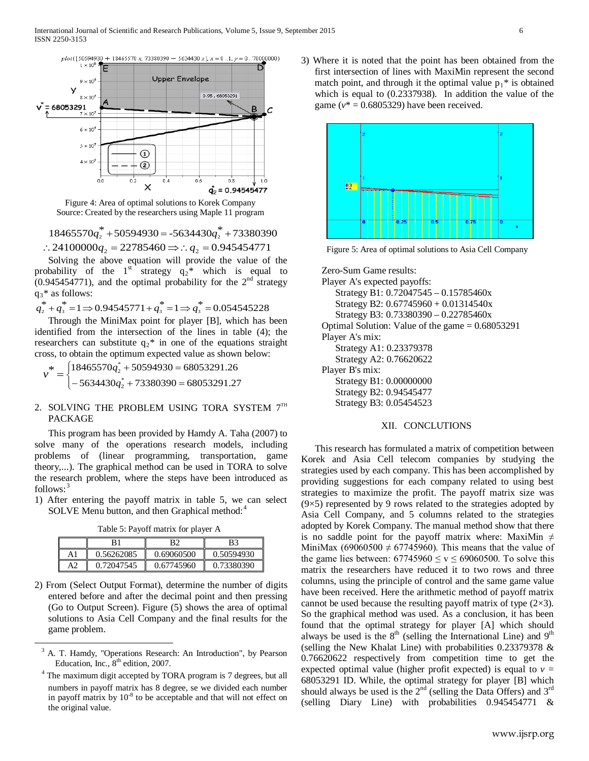

Figure 4: Area of optimal solutions to Korek Company Source: Created by the researchers using Maple 11 program

 $18465570q^*$  +  $50594930$  =  $-5634430q^*$  +  $73380390$ ∴24100000 $q_2$  = 22785460  $\Rightarrow$ ∴  $q_2$  = 0.945454771

Solving the above equation will provide the value of the probability of the 1<sup>st</sup> strategy  $q_2^*$  which is equal to  $(0.945454771)$ , and the optimal probability for the  $2<sup>nd</sup>$  strategy  $q_3$ <sup>\*</sup> as follows:

 $q_2^* + q_3^* = 1 \implies 0.94545771 + q_3^* = 1 \implies q_3^* = 0.054545228$ 

Through the MiniMax point for player [B], which has been identified from the intersection of the lines in table (4); the researchers can substitute  $q_2$ <sup>\*</sup> in one of the equations straight cross, to obtain the optimum expected value as shown below:

 $\overline{\mathcal{L}}$ )<br>1  $\int$  $=\begin{cases} 18465570q_2^* + 50594930 = 68053291.26 \\ -5634430q_2^* + 73380390 = 68053291.27 \end{cases}$ \* 2  $*$   $\sqrt{18465570q_2^*}$ *q*  $v^* = \begin{cases} 18465570q \\ 1222q \end{cases}$ 

# 2. SOLVING THE PROBLEM USING TORA SYSTEM  $7^{\text{th}}$ PACKAGE

This program has been provided by Hamdy A. Taha (2007) to solve many of the operations research models, including problems of (linear programming, transportation, game theory,...). The graphical method can be used in TORA to solve the research problem, where the steps have been introduced as follows:<sup>[3](#page-2-0)</sup>

1) After entering the payoff matrix in table 5, we can select SOLVE Menu button, and then Graphical method:<sup>[4](#page-5-0)</sup>

Table 5: Payoff matrix for player A

|    | R١         |            | B3         |
|----|------------|------------|------------|
|    | 0.56262085 | 0.69060500 | 0.50594930 |
| A2 | 0.72047545 | 0.67745960 | 0.73380390 |

2) From (Select Output Format), determine the number of digits entered before and after the decimal point and then pressing (Go to Output Screen). Figure (5) shows the area of optimal solutions to Asia Cell Company and the final results for the game problem.

3) Where it is noted that the point has been obtained from the first intersection of lines with MaxiMin represent the second match point, and through it the optimal value  $p_1^*$  is obtained which is equal to (0.2337938). In addition the value of the game ( $v^*$  = 0.6805329) have been received.



Figure 5: Area of optimal solutions to Asia Cell Company

Zero-Sum Game results:

Player A's expected payoffs: Strategy B1: 0.72047545 – 0.15785460x Strategy B2:  $0.67745960 + 0.01314540x$ Strategy B3: 0.73380390 – 0.22785460x Optimal Solution: Value of the game  $= 0.68053291$ Player A's mix: Strategy A1: 0.23379378 Strategy A2: 0.76620622 Player B's mix: Strategy B1: 0.00000000 Strategy B2: 0.94545477 Strategy B3: 0.05454523

## XII. CONCLUTIONS

This research has formulated a matrix of competition between Korek and Asia Cell telecom companies by studying the strategies used by each company. This has been accomplished by providing suggestions for each company related to using best strategies to maximize the profit. The payoff matrix size was  $(9\times5)$  represented by 9 rows related to the strategies adopted by Asia Cell Company, and 5 columns related to the strategies adopted by Korek Company. The manual method show that there is no saddle point for the payoff matrix where: MaxiMin  $\neq$ MiniMax (69060500  $\neq$  67745960). This means that the value of the game lies between:  $67745960 \le v \le 69060500$ . To solve this matrix the researchers have reduced it to two rows and three columns, using the principle of control and the same game value have been received. Here the arithmetic method of payoff matrix cannot be used because the resulting payoff matrix of type  $(2\times3)$ . So the graphical method was used. As a conclusion, it has been found that the optimal strategy for player [A] which should always be used is the 8<sup>th</sup> (selling the International Line) and 9<sup>th</sup> (selling the New Khalat Line) with probabilities 0.23379378 & 0.76620622 respectively from competition time to get the expected optimal value (higher profit expected) is equal to  $v =$ 68053291 ID. While, the optimal strategy for player [B] which should always be used is the  $2<sup>nd</sup>$  (selling the Data Offers) and  $3<sup>rd</sup>$ (selling Diary Line) with probabilities 0.945454771 &

 <sup>3</sup> A. T. Hamdy, "Operations Research: An Introduction", by Pearson Education, Inc.,  $8<sup>th</sup>$  edition, 2007.

<span id="page-5-0"></span><sup>&</sup>lt;sup>4</sup> The maximum digit accepted by TORA program is 7 degrees, but all numbers in payoff matrix has 8 degree, se we divided each number in payoff matrix by  $10^{-8}$  to be acceptable and that will not effect on the original value.